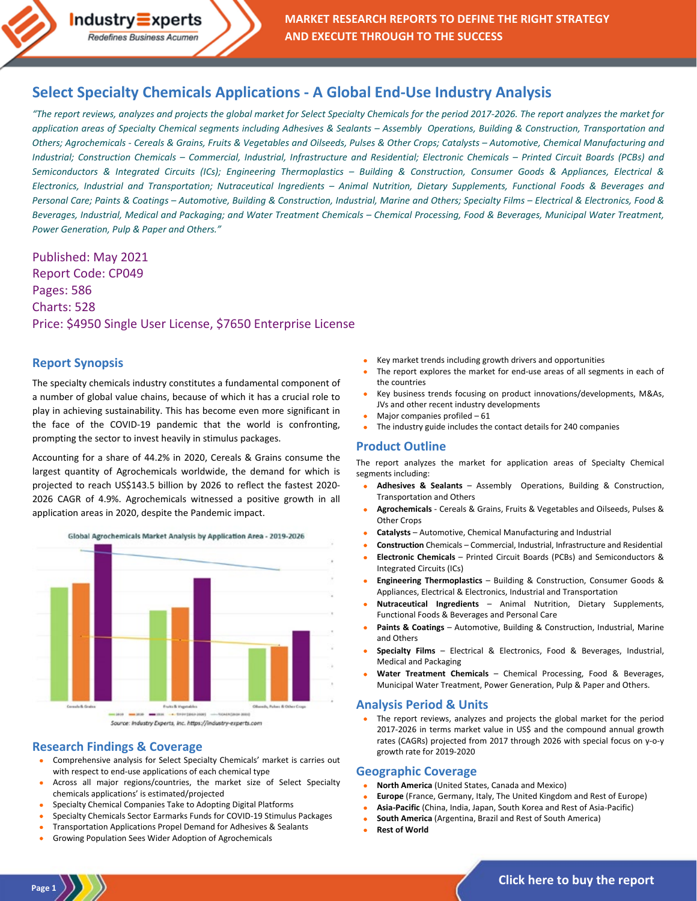**MARKET RESEARCH REPORTS TO DEFINE THE RIGHT STRATEGY AND EXECUTE THROUGH TO THE SUCCESS**

# **[Select Specialty Chemicals Applications -](https://industry-experts.com/verticals/chemicals-and-materials/select-specialty-chemicals-applications-a-global-end-use-industry-analysis) A Global End-Use Industry Analysis**

*"The report reviews, analyzes and projects the global market for Select Specialty Chemicals for the period 2017-2026. The report analyzes the market for application areas of Specialty Chemical segments including Adhesives & Sealants – Assembly Operations, Building & Construction, Transportation and Others; Agrochemicals - Cereals & Grains, Fruits & Vegetables and Oilseeds, Pulses & Other Crops; Catalysts – Automotive, Chemical Manufacturing and Industrial; Construction Chemicals – Commercial, Industrial, Infrastructure and Residential; Electronic Chemicals – Printed Circuit Boards (PCBs) and Semiconductors & Integrated Circuits (ICs); Engineering Thermoplastics – Building & Construction, Consumer Goods & Appliances, Electrical & Electronics, Industrial and Transportation; Nutraceutical Ingredients – Animal Nutrition, Dietary Supplements, Functional Foods & Beverages and Personal Care; Paints & Coatings – Automotive, Building & Construction, Industrial, Marine and Others; Specialty Films – Electrical & Electronics, Food & Beverages, Industrial, Medical and Packaging; and Water Treatment Chemicals – Chemical Processing, Food & Beverages, Municipal Water Treatment, Power Generation, Pulp & Paper and Others."*

Published: May 2021 Report Code: CP049 Pages: 586 Charts: 528 Price: \$4950 Single User License, \$7650 Enterprise License

Redefines Business Acumen

## **Report Synopsis**

The specialty chemicals industry constitutes a fundamental component of a number of global value chains, because of which it has a crucial role to play in achieving sustainability. This has become even more significant in the face of the COVID-19 pandemic that the world is confronting, prompting the sector to invest heavily in stimulus packages.

Accounting for a share of 44.2% in 2020, Cereals & Grains consume the largest quantity of Agrochemicals worldwide, the demand for which is projected to reach US\$143.5 billion by 2026 to reflect the fastest 2020- 2026 CAGR of 4.9%. Agrochemicals witnessed a positive growth in all application areas in 2020, despite the Pandemic impact.



# **Research Findings & Coverage**

- Comprehensive analysis for Select Specialty Chemicals' market is carries out with respect to end-use applications of each chemical type
- Across all major regions/countries, the market size of Select Specialty chemicals applications' is estimated/projected
- Specialty Chemical Companies Take to Adopting Digital Platforms
- Specialty Chemicals Sector Earmarks Funds for COVID-19 Stimulus Packages
- Transportation Applications Propel Demand for Adhesives & Sealants
- Growing Population Sees Wider Adoption of Agrochemicals
- Key market trends including growth drivers and opportunities
- The report explores the market for end-use areas of all segments in each of the countries
- Key business trends focusing on product innovations/developments, M&As, JVs and other recent industry developments
- Major companies profiled 61
- The industry guide includes the contact details for 240 companies

## **Product Outline**

The report analyzes the market for application areas of Specialty Chemical segments including:

- **Adhesives & Sealants** Assembly Operations, Building & Construction, Transportation and Others
- **Agrochemicals** Cereals & Grains, Fruits & Vegetables and Oilseeds, Pulses & Other Crops
- **Catalysts** Automotive, Chemical Manufacturing and Industrial
- **Construction** Chemicals Commercial, Industrial, Infrastructure and Residential
- **Electronic Chemicals** Printed Circuit Boards (PCBs) and Semiconductors & Integrated Circuits (ICs)
- **Engineering Thermoplastics** Building & Construction, Consumer Goods & Appliances, Electrical & Electronics, Industrial and Transportation
- **Nutraceutical Ingredients** Animal Nutrition, Dietary Supplements, Functional Foods & Beverages and Personal Care
- **Paints & Coatings** Automotive, Building & Construction, Industrial, Marine and Others
- **Specialty Films** Electrical & Electronics, Food & Beverages, Industrial, Medical and Packaging
- **Water Treatment Chemicals** Chemical Processing, Food & Beverages, Municipal Water Treatment, Power Generation, Pulp & Paper and Others.

## **Analysis Period & Units**

The report reviews, analyzes and projects the global market for the period 2017-2026 in terms market value in US\$ and the compound annual growth rates (CAGRs) projected from 2017 through 2026 with special focus on y-o-y growth rate for 2019-2020

### **Geographic Coverage**

- **North America** (United States, Canada and Mexico)
- **Europe** (France, Germany, Italy, The United Kingdom and Rest of Europe)
- **Asia-Pacific** (China, India, Japan, South Korea and Rest of Asia-Pacific)
- **South America** (Argentina, Brazil and Rest of South America)
- **Rest of World**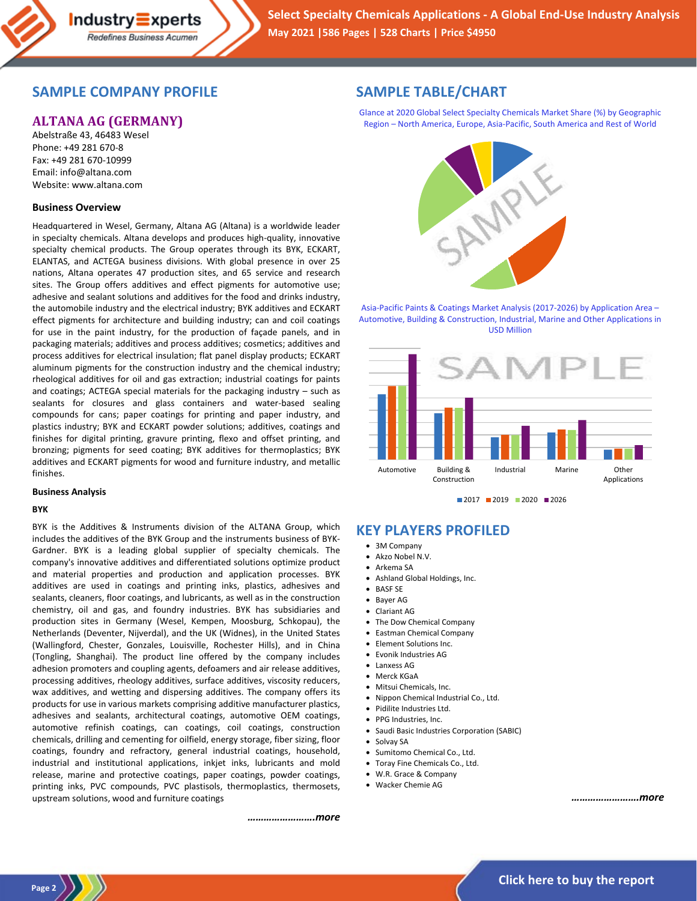# **SAMPLE COMPANY PROFILE**

# **ALTANA AG (GERMANY)**

Abelstraße 43, 46483 Wesel Phone: +49 281 670-8 Fax: +49 281 670-10999 Email: info@altana.com Website: www.altana.com

### **Business Overview**

Headquartered in Wesel, Germany, Altana AG (Altana) is a worldwide leader in specialty chemicals. Altana develops and produces high-quality, innovative specialty chemical products. The Group operates through its BYK, ECKART, ELANTAS, and ACTEGA business divisions. With global presence in over 25 nations, Altana operates 47 production sites, and 65 service and research sites. The Group offers additives and effect pigments for automotive use; adhesive and sealant solutions and additives for the food and drinks industry, the automobile industry and the electrical industry; BYK additives and ECKART effect pigments for architecture and building industry; can and coil coatings for use in the paint industry, for the production of façade panels, and in packaging materials; additives and process additives; cosmetics; additives and process additives for electrical insulation; flat panel display products; ECKART aluminum pigments for the construction industry and the chemical industry; rheological additives for oil and gas extraction; industrial coatings for paints and coatings; ACTEGA special materials for the packaging industry – such as sealants for closures and glass containers and water-based sealing compounds for cans; paper coatings for printing and paper industry, and plastics industry; BYK and ECKART powder solutions; additives, coatings and finishes for digital printing, gravure printing, flexo and offset printing, and bronzing; pigments for seed coating; BYK additives for thermoplastics; BYK additives and ECKART pigments for wood and furniture industry, and metallic finishes.

#### **Business Analysis**

#### **BYK**

BYK is the Additives & Instruments division of the ALTANA Group, which includes the additives of the BYK Group and the instruments business of BYK-Gardner. BYK is a leading global supplier of specialty chemicals. The company's innovative additives and differentiated solutions optimize product and material properties and production and application processes. BYK additives are used in coatings and printing inks, plastics, adhesives and sealants, cleaners, floor coatings, and lubricants, as well as in the construction chemistry, oil and gas, and foundry industries. BYK has subsidiaries and production sites in Germany (Wesel, Kempen, Moosburg, Schkopau), the Netherlands (Deventer, Nijverdal), and the UK (Widnes), in the United States (Wallingford, Chester, Gonzales, Louisville, Rochester Hills), and in China (Tongling, Shanghai). The product line offered by the company includes adhesion promoters and coupling agents, defoamers and air release additives, processing additives, rheology additives, surface additives, viscosity reducers, wax additives, and wetting and dispersing additives. The company offers its products for use in various markets comprising additive manufacturer plastics, adhesives and sealants, architectural coatings, automotive OEM coatings, automotive refinish coatings, can coatings, coil coatings, construction chemicals, drilling and cementing for oilfield, energy storage, fiber sizing, floor coatings, foundry and refractory, general industrial coatings, household, industrial and institutional applications, inkjet inks, lubricants and mold release, marine and protective coatings, paper coatings, powder coatings, printing inks, PVC compounds, PVC plastisols, thermoplastics, thermosets, upstream solutions, wood and furniture coatings

*…………………….more*

# **SAMPLE TABLE/CHART**

Glance at 2020 Global Select Specialty Chemicals Market Share (%) by Geographic Region – North America, Europe, Asia-Pacific, South America and Rest of World



Asia-Pacific Paints & Coatings Market Analysis (2017-2026) by Application Area – Automotive, Building & Construction, Industrial, Marine and Other Applications in USD Million





# **KEY PLAYERS PROFILED**

- 3M Company
- Akzo Nobel N.V.
- Arkema SA
- Ashland Global Holdings, Inc.
- BASF SE
- Baver AG
- Clariant AG
- The Dow Chemical Company
- Eastman Chemical Company
- Element Solutions Inc.
- Evonik Industries AG
- Lanxess AG
- Merck KGaA
- Mitsui Chemicals, Inc.
- Nippon Chemical Industrial Co., Ltd.
- Pidilite Industries Ltd.
- PPG Industries, Inc.
- Saudi Basic Industries Corporation (SABIC)
- Solvay SA
- Sumitomo Chemical Co., Ltd.
- Toray Fine Chemicals Co., Ltd.
- W.R. Grace & Company
- Wacker Chemie AG

*…………………….more*

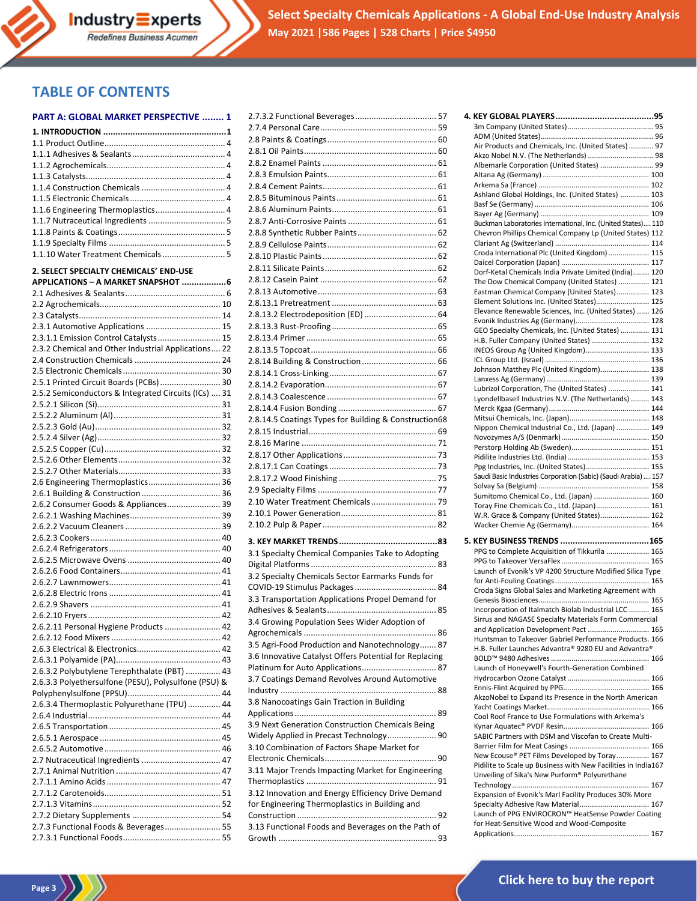# **TABLE OF CONTENTS**

### **PART A: GLOBAL MARKET PERSPECTIVE ........ 1**

| 1.1.6 Engineering Thermoplastics 4                                                                   |  |
|------------------------------------------------------------------------------------------------------|--|
|                                                                                                      |  |
|                                                                                                      |  |
| 1.1.10 Water Treatment Chemicals  5                                                                  |  |
|                                                                                                      |  |
| 2. SELECT SPECIALTY CHEMICALS' END-USE                                                               |  |
| APPLICATIONS - A MARKET SNAPSHOT 6                                                                   |  |
|                                                                                                      |  |
|                                                                                                      |  |
|                                                                                                      |  |
| 2.3.1 Automotive Applications  15                                                                    |  |
| 2.3.1.1 Emission Control Catalysts 15                                                                |  |
| 2.3.2 Chemical and Other Industrial Applications 22                                                  |  |
|                                                                                                      |  |
| 2.5.1 Printed Circuit Boards (PCBs)  30                                                              |  |
| 2.5.2 Semiconductors & Integrated Circuits (ICs)  31                                                 |  |
|                                                                                                      |  |
|                                                                                                      |  |
|                                                                                                      |  |
|                                                                                                      |  |
|                                                                                                      |  |
|                                                                                                      |  |
|                                                                                                      |  |
| 2.6 Engineering Thermoplastics 36                                                                    |  |
|                                                                                                      |  |
| 2.6.2 Consumer Goods & Appliances 39                                                                 |  |
|                                                                                                      |  |
|                                                                                                      |  |
|                                                                                                      |  |
|                                                                                                      |  |
|                                                                                                      |  |
|                                                                                                      |  |
|                                                                                                      |  |
|                                                                                                      |  |
|                                                                                                      |  |
|                                                                                                      |  |
| 2.6.2.11 Personal Hygiene Products  42                                                               |  |
|                                                                                                      |  |
|                                                                                                      |  |
|                                                                                                      |  |
| 2.6.3.2 Polybutylene Terephthalate (PBT)  43<br>2.6.3.3 Polyethersulfone (PESU), Polysulfone (PSU) & |  |
|                                                                                                      |  |
| 2.6.3.4 Thermoplastic Polyurethane (TPU)  44                                                         |  |
|                                                                                                      |  |
|                                                                                                      |  |
|                                                                                                      |  |
|                                                                                                      |  |
|                                                                                                      |  |
|                                                                                                      |  |
|                                                                                                      |  |
|                                                                                                      |  |
|                                                                                                      |  |
|                                                                                                      |  |
| 2.7.3 Functional Foods & Beverages 55                                                                |  |
|                                                                                                      |  |

| 2.8.13.2 Electrodeposition (ED)  64                    |  |
|--------------------------------------------------------|--|
|                                                        |  |
|                                                        |  |
|                                                        |  |
|                                                        |  |
|                                                        |  |
|                                                        |  |
|                                                        |  |
| 2.8.14.5 Coatings Types for Building & Construction68  |  |
|                                                        |  |
|                                                        |  |
|                                                        |  |
|                                                        |  |
|                                                        |  |
|                                                        |  |
|                                                        |  |
|                                                        |  |
|                                                        |  |
|                                                        |  |
| 3.1 Specialty Chemical Companies Take to Adopting      |  |
|                                                        |  |
| 3.2 Specialty Chemicals Sector Earmarks Funds for      |  |
|                                                        |  |
| 3.3 Transportation Applications Propel Demand for      |  |
|                                                        |  |
| 3.4 Growing Population Sees Wider Adoption of          |  |
|                                                        |  |
| 3.5 Agri-Food Production and Nanotechnology 87         |  |
| 3.6 Innovative Catalyst Offers Potential for Replacing |  |
| Platinum for Auto Applications 87                      |  |
| 3.7 Coatings Demand Revolves Around Automotive         |  |
|                                                        |  |
| 3.8 Nanocoatings Gain Traction in Building             |  |
|                                                        |  |
| 3.9 Next Generation Construction Chemicals Being       |  |
| Widely Applied in Precast Technology 90                |  |
| 3.10 Combination of Factors Shape Market for           |  |
|                                                        |  |
| 3.11 Major Trends Impacting Market for Engineering     |  |
| 3.12 Innovation and Energy Efficiency Drive Demand     |  |
|                                                        |  |
|                                                        |  |
| for Engineering Thermoplastics in Building and         |  |
|                                                        |  |
| 3.13 Functional Foods and Beverages on the Path of     |  |

| Air Products and Chemicals, Inc. (United States)  97           |  |
|----------------------------------------------------------------|--|
| Akzo Nobel N.V. (The Netherlands)  98                          |  |
| Albemarle Corporation (United States)  99                      |  |
|                                                                |  |
|                                                                |  |
| Ashland Global Holdings, Inc. (United States)  103             |  |
|                                                                |  |
|                                                                |  |
| Buckman Laboratories International, Inc. (United States) 110   |  |
| Chevron Phillips Chemical Company Lp (United States) 112       |  |
|                                                                |  |
| Croda International Plc (United Kingdom)  115                  |  |
|                                                                |  |
| Dorf-Ketal Chemicals India Private Limited (India) 120         |  |
| The Dow Chemical Company (United States)  121                  |  |
| Eastman Chemical Company (United States) 123                   |  |
| Element Solutions Inc. (United States) 125                     |  |
| Elevance Renewable Sciences, Inc. (United States)  126         |  |
|                                                                |  |
| GEO Specialty Chemicals, Inc. (United States)  131             |  |
| H.B. Fuller Company (United States)  132                       |  |
| INEOS Group Ag (United Kingdom) 133                            |  |
| Johnson Matthey Plc (United Kingdom) 138                       |  |
|                                                                |  |
| Lubrizol Corporation, The (United States)  141                 |  |
| Lyondellbasell Industries N.V. (The Netherlands)  143          |  |
|                                                                |  |
|                                                                |  |
| Nippon Chemical Industrial Co., Ltd. (Japan)  149              |  |
|                                                                |  |
|                                                                |  |
|                                                                |  |
| Ppg Industries, Inc. (United States) 155                       |  |
| Saudi Basic Industries Corporation (Sabic) (Saudi Arabia)  157 |  |
|                                                                |  |
| Sumitomo Chemical Co., Ltd. (Japan)  160                       |  |
| Toray Fine Chemicals Co., Ltd. (Japan) 161                     |  |
| W.R. Grace & Company (United States) 162                       |  |
|                                                                |  |
|                                                                |  |
| PPG to Complete Acquisition of Tikkurila  165                  |  |
|                                                                |  |
| Launch of Evonik's VP 4200 Structure Modified Silica Type      |  |
|                                                                |  |
| Croda Signs Global Sales and Marketing Agreement with          |  |
|                                                                |  |
| Incorporation of Italmatch Biolab Industrial LCC  165          |  |
| Sirrus and NAGASE Specialty Materials Form Commercial          |  |
| and Application Development Pact  165                          |  |
| Huntsman to Takeover Gabriel Performance Products. 166         |  |
| H.B. Fuller Launches Advantra® 9280 EU and Advantra®           |  |
|                                                                |  |
| Launch of Honeywell's Fourth-Generation Combined               |  |
|                                                                |  |
|                                                                |  |
| AkzoNobel to Expand its Presence in the North American         |  |
| Cool Roof France to Use Formulations with Arkema's             |  |
|                                                                |  |
| SABIC Partners with DSM and Viscofan to Create Multi-          |  |
|                                                                |  |
| New Ecouse® PET Films Developed by Toray 167                   |  |
| Pidilite to Scale up Business with New Facilities in India167  |  |
| Unveiling of Sika's New Purform® Polyurethane                  |  |
|                                                                |  |
| Expansion of Evonik's Marl Facility Produces 30% More          |  |
| Specialty Adhesive Raw Material 167                            |  |
| Launch of PPG ENVIROCRON™ HeatSense Powder Coating             |  |
| for Heat-Sensitive Wood and Wood-Composite                     |  |
|                                                                |  |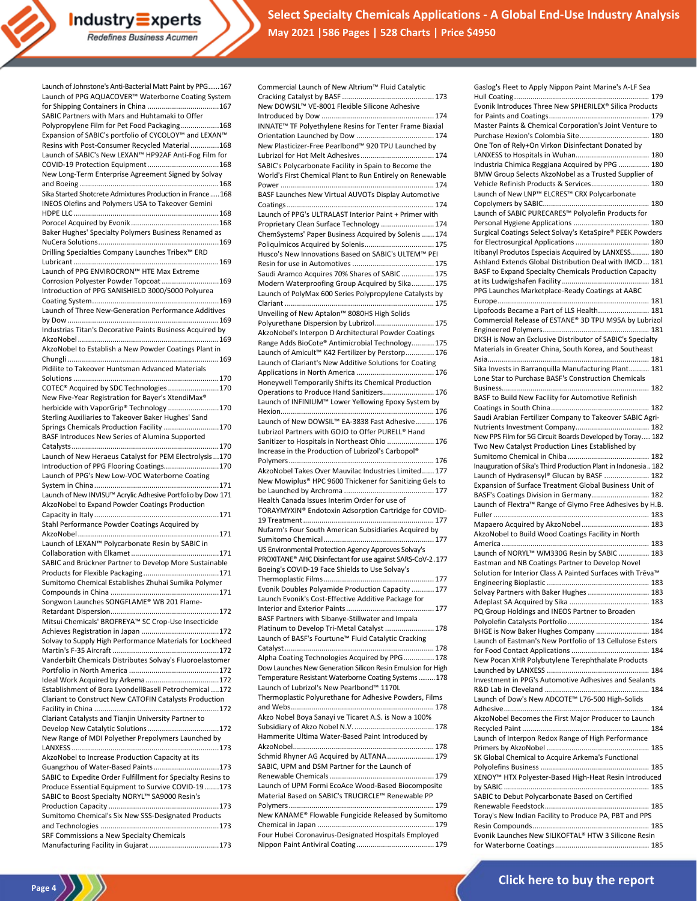

**Select Specialty Chemicals Applications - A Global End-Use Industry Analysis May 2021 |586 Pages | 528 Charts | Price \$4950**

| Launch of Johnstone's Anti-Bacterial Matt Paint by PPG 167                                        |
|---------------------------------------------------------------------------------------------------|
| Launch of PPG AQUACOVER™ Waterborne Coating System                                                |
| SABIC Partners with Mars and Huhtamaki to Offer                                                   |
| Polypropylene Film for Pet Food Packaging168                                                      |
| Expansion of SABIC's portfolio of CYCOLOY™ and LEXAN™                                             |
| Resins with Post-Consumer Recycled Material168                                                    |
| Launch of SABIC's New LEXAN™ HP92AF Anti-Fog Film for                                             |
|                                                                                                   |
| New Long-Term Enterprise Agreement Signed by Solvay                                               |
| Sika Started Shotcrete Admixtures Production in France168                                         |
| <b>INEOS Olefins and Polymers USA to Takeover Gemini</b>                                          |
|                                                                                                   |
|                                                                                                   |
| Baker Hughes' Specialty Polymers Business Renamed as                                              |
|                                                                                                   |
| Drilling Specialties Company Launches Tribex <sup>™</sup> ERD                                     |
| Launch of PPG ENVIROCRON™ HTE Max Extreme                                                         |
| Corrosion Polyester Powder Topcoat 169                                                            |
| Introduction of PPG SANISHIELD 3000/5000 Polyurea                                                 |
|                                                                                                   |
| Launch of Three New-Generation Performance Additives                                              |
|                                                                                                   |
| Industrias Titan's Decorative Paints Business Acquired by                                         |
| AkzoNobel to Establish a New Powder Coatings Plant in                                             |
|                                                                                                   |
| Pidilite to Takeover Huntsman Advanced Materials                                                  |
|                                                                                                   |
| COTEC® Acquired by SDC Technologies170                                                            |
| New Five-Year Registration for Bayer's XtendiMax®                                                 |
| herbicide with VaporGrip® Technology 170                                                          |
| Sterling Auxiliaries to Takeover Baker Hughes' Sand<br>Springs Chemicals Production Facility 170  |
| BASF Introduces New Series of Alumina Supported                                                   |
|                                                                                                   |
| Launch of New Heraeus Catalyst for PEM Electrolysis170                                            |
| Introduction of PPG Flooring Coatings170                                                          |
| Launch of PPG's New Low-VOC Waterborne Coating                                                    |
| Launch of New INVISU™ Acrylic Adhesive Portfolio by Dow 171                                       |
| AkzoNobel to Expand Powder Coatings Production                                                    |
|                                                                                                   |
| Stahl Performance Powder Coatings Acquired by                                                     |
|                                                                                                   |
| Launch of LEXAN™ Polycarbonate Resin by SABIC in                                                  |
| SABIC and Brückner Partner to Develop More Sustainable                                            |
|                                                                                                   |
| Sumitomo Chemical Establishes Zhuhai Sumika Polymer                                               |
| Compounds in China<br>. 171                                                                       |
| Songwon Launches SONGFLAME® WB 201 Flame-                                                         |
|                                                                                                   |
| Mitsui Chemicals' BROFREYA™ SC Crop-Use Insecticide                                               |
| Solvay to Supply High Performance Materials for Lockheed                                          |
|                                                                                                   |
| Vanderbilt Chemicals Distributes Solvay's Fluoroelastomer                                         |
|                                                                                                   |
|                                                                                                   |
| Establishment of Bora LyondellBasell Petrochemical 172                                            |
| Clariant to Construct New CATOFIN Catalysts Production                                            |
| Clariant Catalysts and Tianjin University Partner to                                              |
| Develop New Catalytic Solutions 172                                                               |
| New Range of MDI Polyether Prepolymers Launched by                                                |
|                                                                                                   |
| AkzoNobel to Increase Production Capacity at its                                                  |
| Guangzhou of Water-Based Paints173<br>SABIC to Expedite Order Fulfillment for Specialty Resins to |
| Produce Essential Equipment to Survive COVID-19 173                                               |
| SABIC to Boost Specialty NORYL™ SA9000 Resin's                                                    |
|                                                                                                   |
|                                                                                                   |
| Sumitomo Chemical's Six New SSS-Designated Products                                               |
|                                                                                                   |
| SRF Commissions a New Specialty Chemicals                                                         |

Page 4  $\langle \rangle$ 

| Commercial Launch of New Altrium™ Fluid Catalytic                                                                  |
|--------------------------------------------------------------------------------------------------------------------|
|                                                                                                                    |
|                                                                                                                    |
| New DOWSIL™ VE-8001 Flexible Silicone Adhesive                                                                     |
|                                                                                                                    |
| INNATE™ TF Polyethylene Resins for Tenter Frame Biaxial                                                            |
|                                                                                                                    |
| New Plasticizer-Free Pearlbond™ 920 TPU Launched by                                                                |
|                                                                                                                    |
| SABIC's Polycarbonate Facility in Spain to Become the<br>World's First Chemical Plant to Run Entirely on Renewable |
|                                                                                                                    |
| BASF Launches New Virtual AUVOTs Display Automotive                                                                |
|                                                                                                                    |
| Launch of PPG's ULTRALAST Interior Paint + Primer with                                                             |
| Proprietary Clean Surface Technology  174                                                                          |
| ChemSystems' Paper Business Acquired by Solenis  174                                                               |
| Poliquímicos Acquired by Solenis 175                                                                               |
| Husco's New Innovations Based on SABIC's ULTEM™ PEI                                                                |
|                                                                                                                    |
| Saudi Aramco Acquires 70% Shares of SABIC 175                                                                      |
| Modern Waterproofing Group Acquired by Sika 175                                                                    |
| Launch of PolyMax 600 Series Polypropylene Catalysts by                                                            |
|                                                                                                                    |
| Unveiling of New Aptalon™ 8080HS High Solids                                                                       |
| Polyurethane Dispersion by Lubrizol 175                                                                            |
| AkzoNobel's Interpon D Architectural Powder Coatings                                                               |
| Range Adds BioCote® Antimicrobial Technology 175<br>Launch of Amicult™ K42 Fertilizer by Perstorp 176              |
| Launch of Clariant's New Additive Solutions for Coating                                                            |
|                                                                                                                    |
| Honeywell Temporarily Shifts its Chemical Production                                                               |
| Operations to Produce Hand Sanitizers 176                                                                          |
| Launch of INFINIUM™ Lower Yellowing Epoxy System by                                                                |
|                                                                                                                    |
| Launch of New DOWSIL™ EA-3838 Fast Adhesive  176                                                                   |
| Lubrizol Partners with GOJO to Offer PURELL® Hand                                                                  |
| Sanitizer to Hospitals in Northeast Ohio  176                                                                      |
| Increase in the Production of Lubrizol's Carbopol®                                                                 |
|                                                                                                                    |
|                                                                                                                    |
| AkzoNobel Takes Over Mauvilac Industries Limited 177                                                               |
| New Mowiplus® HPC 9600 Thickener for Sanitizing Gels to                                                            |
|                                                                                                                    |
| Health Canada Issues Interim Order for use of                                                                      |
| TORAYMYXIN® Endotoxin Adsorption Cartridge for COVID-                                                              |
|                                                                                                                    |
| Nufarm's Four South American Subsidiaries Acquired by                                                              |
|                                                                                                                    |
| US Environmental Protection Agency Approves Solvay's                                                               |
| PROXITANE® AHC Disinfectant for use against SARS-CoV-2.177                                                         |
| Boeing's COVID-19 Face Shields to Use Solvay's                                                                     |
|                                                                                                                    |
| Evonik Doubles Polyamide Production Capacity  177<br>Launch Evonik's Cost-Effective Additive Package for           |
|                                                                                                                    |
| BASF Partners with Sibanye-Stillwater and Impala                                                                   |
| Platinum to Develop Tri-Metal Catalyst  178                                                                        |
| Launch of BASF's Fourtune™ Fluid Catalytic Cracking                                                                |
|                                                                                                                    |
| Alpha Coating Technologies Acquired by PPG 178                                                                     |
| Dow Launches New Generation Silicon Resin Emulsion for High                                                        |
| Temperature Resistant Waterborne Coating Systems  178                                                              |
| Launch of Lubrizol's New Pearlbond™ 1170L                                                                          |
| Thermoplastic Polyurethane for Adhesive Powders, Films                                                             |
|                                                                                                                    |
| Akzo Nobel Boya Sanayi ve Ticaret A.S. is Now a 100%                                                               |
|                                                                                                                    |
| Hammerite Ultima Water-Based Paint Introduced by                                                                   |
| Schmid Rhyner AG Acquired by ALTANA 179                                                                            |
| SABIC, UPM and DSM Partner for the Launch of                                                                       |
|                                                                                                                    |
| Launch of UPM Formi EcoAce Wood-Based Biocomposite                                                                 |
| Material Based on SABIC's TRUCIRCLE™ Renewable PP                                                                  |
|                                                                                                                    |
| New KANAME® Flowable Fungicide Released by Sumitomo                                                                |

Four Hubei Coronavirus-Designated Hospitals Employed Nippon Paint Antiviral Coating...................................... 179

| Evonik Introduces Three New SPHERILEX® Silica Products         |
|----------------------------------------------------------------|
|                                                                |
| Master Paints & Chemical Corporation's Joint Venture to        |
| Purchase Hexion's Colombia Site 180                            |
| One Ton of Rely+On Virkon Disinfectant Donated by              |
| Industria Chimica Reggiana Acquired by PPG  180                |
| BMW Group Selects AkzoNobel as a Trusted Supplier of           |
| Vehicle Refinish Products & Services 180                       |
| Launch of New LNP™ ELCRES™ CRX Polycarbonate                   |
|                                                                |
| Launch of SABIC PURECARES™ Polyolefin Products for             |
|                                                                |
| Surgical Coatings Select Solvay's KetaSpire® PEEK Powders      |
|                                                                |
| Itibanyl Produtos Especiais Acquired by LANXESS 180            |
| Ashland Extends Global Distribution Deal with IMCD 181         |
| BASF to Expand Specialty Chemicals Production Capacity         |
|                                                                |
| PPG Launches Marketplace-Ready Coatings at AABC                |
|                                                                |
| Lipofoods Became a Part of LLS Health 181                      |
| Commercial Release of ESTANE® 3D TPU M95A by Lubrizol          |
|                                                                |
| DKSH is Now an Exclusive Distributor of SABIC's Specialty      |
| Materials in Greater China, South Korea, and Southeast         |
| Sika Invests in Barranquilla Manufacturing Plant 181           |
| Lone Star to Purchase BASF's Construction Chemicals            |
|                                                                |
| BASF to Build New Facility for Automotive Refinish             |
|                                                                |
| Saudi Arabian Fertilizer Company to Takeover SABIC Agri-       |
|                                                                |
| New PPS Film for 5G Circuit Boards Developed by Toray 182      |
| Two New Catalyst Production Lines Established by               |
|                                                                |
|                                                                |
| Inauguration of Sika's Third Production Plant in Indonesia 182 |
| Launch of Hydrasensyl® Glucan by BASF  182                     |
| Expansion of Surface Treatment Global Business Unit of         |
| BASF's Coatings Division in Germany 182                        |
| Launch of Flextra™ Range of Glymo Free Adhesives by H.B.       |
|                                                                |
| Mapaero Acquired by AkzoNobel 183                              |
| AkzoNobel to Build Wood Coatings Facility in North             |
| Launch of NORYL™ WM330G Resin by SABIC  183                    |
| Eastman and NB Coatings Partner to Develop Novel               |
| Solution for Interior Class A Painted Surfaces with Trēva™     |
|                                                                |
| Solvay Partners with Baker Hughes  183                         |
|                                                                |
| PQ Group Holdings and INEOS Partner to Broaden                 |
|                                                                |
| BHGE is Now Baker Hughes Company  184                          |
| Launch of Eastman's New Portfolio of 13 Cellulose Esters       |
|                                                                |
| New Pocan XHR Polybutylene Terephthalate Products              |
|                                                                |
| Investment in PPG's Automotive Adhesives and Sealants          |
|                                                                |
| Launch of Dow's New ADCOTE™ L76-500 High-Solids                |
| AkzoNobel Becomes the First Major Producer to Launch           |
|                                                                |
| Launch of Interpon Redox Range of High Performance             |
|                                                                |
| SK Global Chemical to Acquire Arkema's Functional              |
|                                                                |
| XENOY™ HTX Polyester-Based High-Heat Resin Introduced          |
|                                                                |
| SABIC to Debut Polycarbonate Based on Certified                |
|                                                                |
| Toray's New Indian Facility to Produce PA, PBT and PPS         |

for Waterborne Coatings.............................................. 185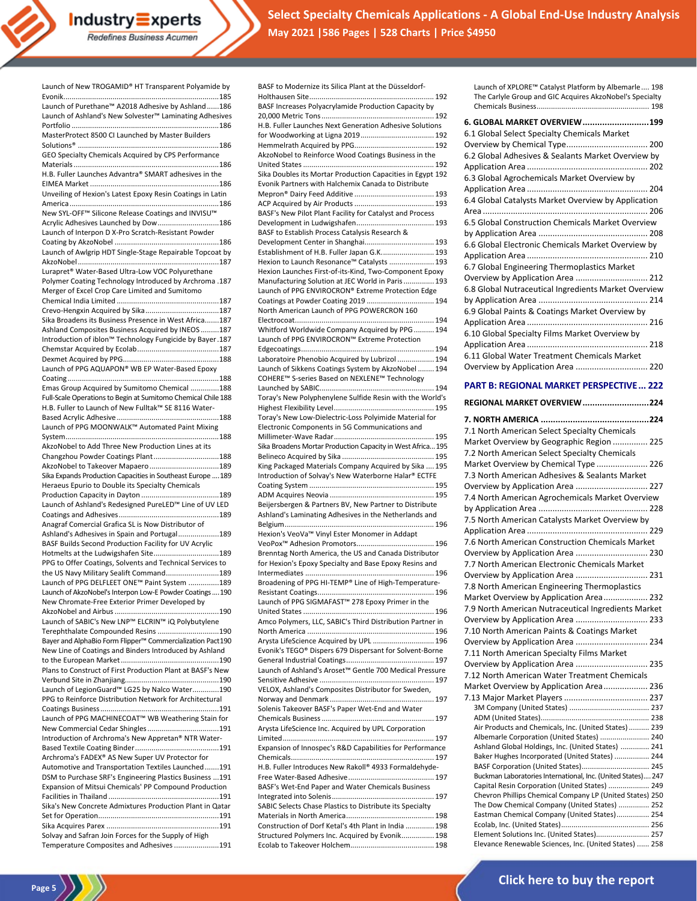Industry Experts Redefines Business Acumen

**Select Specialty Chemicals Applications - A Global End-Use Industry Analysis May 2021 |586 Pages | 528 Charts | Price \$4950**

| Launch of New TROGAMID® HT Transparent Polyamide by                                                               |
|-------------------------------------------------------------------------------------------------------------------|
| Launch of Purethane <sup>™</sup> A2018 Adhesive by Ashland186                                                     |
| Launch of Ashland's New Solvester <sup>™</sup> Laminating Adhesives                                               |
|                                                                                                                   |
| MasterProtect 8500 CI Launched by Master Builders                                                                 |
| GEO Specialty Chemicals Acquired by CPS Performance                                                               |
|                                                                                                                   |
| H.B. Fuller Launches Advantra® SMART adhesives in the                                                             |
|                                                                                                                   |
| Unveiling of Hexion's Latest Epoxy Resin Coatings in Latin                                                        |
| New SYL-OFF™ Silicone Release Coatings and INVISU™                                                                |
| Acrylic Adhesives Launched by Dow 186                                                                             |
| Launch of Interpon D X-Pro Scratch-Resistant Powder                                                               |
| Launch of Awlgrip HDT Single-Stage Repairable Topcoat by                                                          |
|                                                                                                                   |
| Lurapret <sup>®</sup> Water-Based Ultra-Low VOC Polyurethane                                                      |
| Polymer Coating Technology Introduced by Archroma .187<br>Merger of Excel Crop Care Limited and Sumitomo          |
|                                                                                                                   |
|                                                                                                                   |
| Sika Broadens its Business Presence in West Africa187                                                             |
| Ashland Composites Business Acquired by INEOS 187<br>Introduction of iblon™ Technology Fungicide by Bayer.187     |
|                                                                                                                   |
|                                                                                                                   |
| Launch of PPG AQUAPON® WB EP Water-Based Epoxy                                                                    |
| Emas Group Acquired by Sumitomo Chemical 188                                                                      |
| Full-Scale Operations to Begin at Sumitomo Chemical Chile 188                                                     |
| H.B. Fuller to Launch of New Fulltak™ SE 8116 Water-                                                              |
|                                                                                                                   |
| Launch of PPG MOONWALK™ Automated Paint Mixing                                                                    |
| AkzoNobel to Add Three New Production Lines at its                                                                |
| Changzhou Powder Coatings Plant188                                                                                |
| AkzoNobel to Takeover Mapaero 189                                                                                 |
| Sika Expands Production Capacities in Southeast Europe  189                                                       |
|                                                                                                                   |
| Heraeus Epurio to Double its Specialty Chemicals                                                                  |
| Launch of Ashland's Redesigned PureLED™ Line of UV LED                                                            |
|                                                                                                                   |
| Anagraf Comercial Grafica SL is Now Distributor of                                                                |
| Ashland's Adhesives in Spain and Portugal189<br>BASF Builds Second Production Facility for UV Acrylic             |
| Hotmelts at the Ludwigshafen Site189                                                                              |
| PPG to Offer Coatings, Solvents and Technical Services to                                                         |
| the US Navy Military Sealift Command189                                                                           |
| Launch of PPG DELFLEET ONE™ Paint System 189<br>Launch of AkzoNobel's Interpon Low-E Powder Coatings  190         |
| New Chromate-Free Exterior Primer Developed by                                                                    |
|                                                                                                                   |
| Launch of SABIC's New LNP™ ELCRIN™ iQ Polybutylene                                                                |
| Terephthalate Compounded Resins 190<br>Bayer and AlphaBio Form Flipper <sup>™</sup> Commercialization Pact190     |
| New Line of Coatings and Binders Introduced by Ashland                                                            |
|                                                                                                                   |
| Plans to Construct of First Production Plant at BASF's New                                                        |
|                                                                                                                   |
| Launch of LegionGuard™ LG25 by Nalco Water190<br>PPG to Reinforce Distribution Network for Architectural          |
|                                                                                                                   |
| Launch of PPG MACHINECOAT™ WB Weathering Stain for                                                                |
| Introduction of Archroma's New Appretan® NTR Water-                                                               |
|                                                                                                                   |
| Archroma's FADEX® AS New Super UV Protector for                                                                   |
| Automotive and Transportation Textiles Launched191                                                                |
| DSM to Purchase SRF's Engineering Plastics Business  191<br>Expansion of Mitsui Chemicals' PP Compound Production |
|                                                                                                                   |
| Sika's New Concrete Admixtures Production Plant in Qatar                                                          |
|                                                                                                                   |
| Solvay and Safran Join Forces for the Supply of High                                                              |

Page 5<sup>2</sup>

| BASF to Modernize its Silica Plant at the Düsseldorf-                                                |
|------------------------------------------------------------------------------------------------------|
|                                                                                                      |
|                                                                                                      |
| BASF Increases Polyacrylamide Production Capacity by                                                 |
|                                                                                                      |
| H.B. Fuller Launches Next Generation Adhesive Solutions                                              |
|                                                                                                      |
|                                                                                                      |
| AkzoNobel to Reinforce Wood Coatings Business in the                                                 |
|                                                                                                      |
| Sika Doubles its Mortar Production Capacities in Egypt 192                                           |
| Evonik Partners with Halchemix Canada to Distribute                                                  |
|                                                                                                      |
|                                                                                                      |
| BASF's New Pilot Plant Facility for Catalyst and Process                                             |
|                                                                                                      |
| BASF to Establish Process Catalysis Research &                                                       |
| Development Center in Shanghai 193                                                                   |
| Establishment of H.B. Fuller Japan G.K 193                                                           |
| Hexion to Launch Resonance™ Catalysts  193                                                           |
| Hexion Launches First-of-its-Kind, Two-Component Epoxy                                               |
| Manufacturing Solution at JEC World in Paris  193                                                    |
| Launch of PPG ENVIROCRON® Extreme Protection Edge                                                    |
| Coatings at Powder Coating 2019  194                                                                 |
| North American Launch of PPG POWERCRON 160                                                           |
|                                                                                                      |
| Whitford Worldwide Company Acquired by PPG  194<br>Launch of PPG ENVIROCRON™ Extreme Protection      |
|                                                                                                      |
|                                                                                                      |
| Laboratoire Phenobio Acquired by Lubrizol  194                                                       |
| Launch of Sikkens Coatings System by AkzoNobel  194<br>COHERE™ S-series Based on NEXLENE™ Technology |
|                                                                                                      |
| Toray's New Polyphenylene Sulfide Resin with the World's                                             |
|                                                                                                      |
| Toray's New Low-Dielectric-Loss Polyimide Material for                                               |
| Electronic Components in 5G Communications and                                                       |
|                                                                                                      |
| Sika Broadens Mortar Production Capacity in West Africa 195                                          |
|                                                                                                      |
| King Packaged Materials Company Acquired by Sika  195                                                |
| Introduction of Solvay's New Waterborne Halar® ECTFE                                                 |
|                                                                                                      |
|                                                                                                      |
|                                                                                                      |
|                                                                                                      |
| Beijersbergen & Partners BV, New Partner to Distribute                                               |
| Ashland's Laminating Adhesives in the Netherlands and                                                |
|                                                                                                      |
| Hexion's VeoVa™ Vinyl Ester Monomer in Addapt                                                        |
|                                                                                                      |
| Brenntag North America, the US and Canada Distributor                                                |
| for Hexion's Epoxy Specialty and Base Epoxy Resins and                                               |
|                                                                                                      |
| Broadening of PPG HI-TEMP® Line of High-Temperature-                                                 |
| Launch of PPG SIGMAFAST™ 278 Epoxy Primer in the                                                     |
|                                                                                                      |
| Amco Polymers, LLC, SABIC's Third Distribution Partner in                                            |
|                                                                                                      |
| Arysta LifeScience Acquired by UPL  196                                                              |
| Evonik's TEGO® Dispers 679 Dispersant for Solvent-Borne                                              |
|                                                                                                      |
| Launch of Ashland's Aroset™ Gentle 700 Medical Pressure                                              |
|                                                                                                      |
| VELOX, Ashland's Composites Distributor for Sweden,                                                  |
|                                                                                                      |
| Solenis Takeover BASF's Paper Wet-End and Water                                                      |
|                                                                                                      |
| Arysta LifeScience Inc. Acquired by UPL Corporation                                                  |
|                                                                                                      |
| Expansion of Innospec's R&D Capabilities for Performance                                             |
|                                                                                                      |
| H.B. Fuller Introduces New Rakoll® 4933 Formaldehyde-                                                |
|                                                                                                      |
| BASF's Wet-End Paper and Water Chemicals Business                                                    |
|                                                                                                      |
| SABIC Selects Chase Plastics to Distribute its Specialty                                             |
|                                                                                                      |
| Construction of Dorf Ketal's 4th Plant in India  198                                                 |
| Structured Polymers Inc. Acquired by Evonik 198                                                      |

| Launch of XPLORE™ Catalyst Platform by Albemarle 198<br>The Carlyle Group and GIC Acquires AkzoNobel's Specialty |
|------------------------------------------------------------------------------------------------------------------|
| 6. GLOBAL MARKET OVERVIEW 199                                                                                    |
| 6.1 Global Select Specialty Chemicals Market                                                                     |
|                                                                                                                  |
| 6.2 Global Adhesives & Sealants Market Overview by                                                               |
|                                                                                                                  |
| 6.3 Global Agrochemicals Market Overview by                                                                      |
|                                                                                                                  |
| 6.4 Global Catalysts Market Overview by Application                                                              |
|                                                                                                                  |
| 6.5 Global Construction Chemicals Market Overview                                                                |
|                                                                                                                  |
| 6.6 Global Electronic Chemicals Market Overview by                                                               |
|                                                                                                                  |
| 6.7 Global Engineering Thermoplastics Market                                                                     |
| Overview by Application Area  212                                                                                |
| 6.8 Global Nutraceutical Ingredients Market Overview                                                             |
|                                                                                                                  |
| 6.9 Global Paints & Coatings Market Overview by                                                                  |

| Overview by Application Area  220 |
|-----------------------------------|
|                                   |

### **PART B: REGIONAL MARKET PERSPECTIVE... 222**

| <b>REGIONAL MARKET OVERVIEW 224</b>                                                                            |
|----------------------------------------------------------------------------------------------------------------|
|                                                                                                                |
| 7.1 North American Select Specialty Chemicals                                                                  |
| Market Overview by Geographic Region  225                                                                      |
| 7.2 North American Select Specialty Chemicals                                                                  |
| Market Overview by Chemical Type  226                                                                          |
| 7.3 North American Adhesives & Sealants Market                                                                 |
| Overview by Application Area  227                                                                              |
| 7.4 North American Agrochemicals Market Overview                                                               |
|                                                                                                                |
| 7.5 North American Catalysts Market Overview by                                                                |
|                                                                                                                |
| 7.6 North American Construction Chemicals Market                                                               |
| Overview by Application Area  230                                                                              |
| 7.7 North American Electronic Chemicals Market                                                                 |
| Overview by Application Area  231                                                                              |
| 7.8 North American Engineering Thermoplastics                                                                  |
| Market Overview by Application Area 232                                                                        |
| 7.9 North American Nutraceutical Ingredients Market                                                            |
| Overview by Application Area  233                                                                              |
| 7.10 North American Paints & Coatings Market                                                                   |
| Overview by Application Area  234                                                                              |
| 7.11 North American Specialty Films Market                                                                     |
| Overview by Application Area  235                                                                              |
| 7.12 North American Water Treatment Chemicals                                                                  |
| Market Overview by Application Area 236                                                                        |
|                                                                                                                |
|                                                                                                                |
| Air Products and Chemicals, Inc. (United States)  239                                                          |
| Albemarle Corporation (United States)  240                                                                     |
| Ashland Global Holdings, Inc. (United States)  241                                                             |
| Baker Hughes Incorporated (United States)  244                                                                 |
| BASF Corporation (United States) 245                                                                           |
| Buckman Laboratories International, Inc. (United States) 247<br>Capital Resin Corporation (United States)  249 |
| Chevron Phillips Chemical Company LP (United States) 250                                                       |
| The Dow Chemical Company (United States)  252                                                                  |
| Eastman Chemical Company (United States) 254                                                                   |
|                                                                                                                |
| Element Solutions Inc. (United States) 257                                                                     |
| Elevance Renewable Sciences, Inc. (United States)  258                                                         |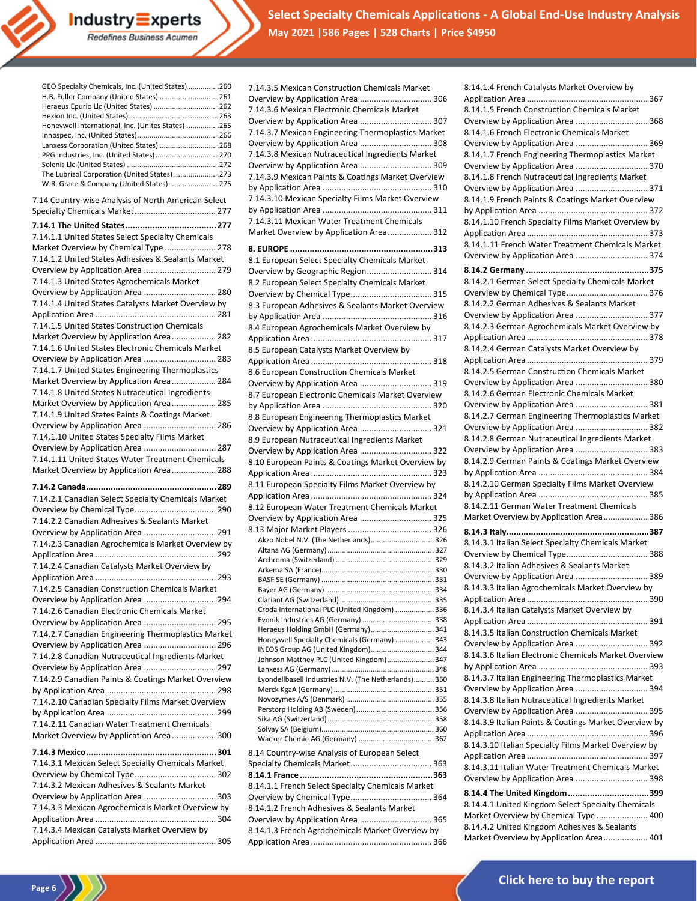

**Select Specialty Chemicals Applications - A Global End-Use Industry Analysis May 2021 |586 Pages | 528 Charts | Price \$4950**

| H.B. Fuller Company (United States) 261                                                    |
|--------------------------------------------------------------------------------------------|
| Heraeus Epurio Llc (United States) 262                                                     |
| Honeywell International, Inc. (Unites States) 265                                          |
|                                                                                            |
| Lanxess Corporation (United States) 268                                                    |
| PPG Industries, Inc. (United States) 270                                                   |
|                                                                                            |
| The Lubrizol Corporation (United States) 273                                               |
| W.R. Grace & Company (United States) 275                                                   |
| 7.14 Country-wise Analysis of North American Select                                        |
| Specialty Chemicals Market 277                                                             |
|                                                                                            |
| 7.14.1.1 United States Select Specialty Chemicals                                          |
| Market Overview by Chemical Type  278                                                      |
| 7.14.1.2 United States Adhesives & Sealants Market                                         |
| Overview by Application Area  279                                                          |
| 7.14.1.3 United States Agrochemicals Market                                                |
| Overview by Application Area  280                                                          |
| 7.14.1.4 United States Catalysts Market Overview by                                        |
|                                                                                            |
| 7.14.1.5 United States Construction Chemicals                                              |
| Market Overview by Application Area 282                                                    |
| 7.14.1.6 United States Electronic Chemicals Market                                         |
| Overview by Application Area  283                                                          |
| 7.14.1.7 United States Engineering Thermoplastics                                          |
| Market Overview by Application Area 284                                                    |
| 7.14.1.8 United States Nutraceutical Ingredients                                           |
|                                                                                            |
| Market Overview by Application Area 285<br>7.14.1.9 United States Paints & Coatings Market |
|                                                                                            |
| Overview by Application Area  286                                                          |
| 7.14.1.10 United States Specialty Films Market                                             |
| Overview by Application Area  287                                                          |
| 7.14.1.11 United States Water Treatment Chemicals                                          |
| Market Overview by Application Area 288                                                    |
|                                                                                            |
|                                                                                            |
|                                                                                            |
| 7.14.2.1 Canadian Select Specialty Chemicals Market                                        |
|                                                                                            |
| 7.14.2.2 Canadian Adhesives & Sealants Market                                              |
| Overview by Application Area  291                                                          |
| 7.14.2.3 Canadian Agrochemicals Market Overview by                                         |
|                                                                                            |
| 7.14.2.4 Canadian Catalysts Market Overview by                                             |
|                                                                                            |
| 7.14.2.5 Canadian Construction Chemicals Market                                            |
| Overview by Application Area  294                                                          |
| 7.14.2.6 Canadian Electronic Chemicals Market                                              |
| Overview by Application Area  295                                                          |
| 7.14.2.7 Canadian Engineering Thermoplastics Market                                        |
| Overview by Application Area  296                                                          |
| 7.14.2.8 Canadian Nutraceutical Ingredients Market                                         |
| Overview by Application Area  297                                                          |
| 7.14.2.9 Canadian Paints & Coatings Market Overview                                        |
|                                                                                            |
| 7.14.2.10 Canadian Specialty Films Market Overview                                         |
|                                                                                            |
| 7.14.2.11 Canadian Water Treatment Chemicals                                               |
| Market Overview by Application Area 300                                                    |
|                                                                                            |
|                                                                                            |
| 7.14.3.1 Mexican Select Specialty Chemicals Market                                         |
|                                                                                            |
| 7.14.3.2 Mexican Adhesives & Sealants Market                                               |
| Overview by Application Area  303                                                          |
| 7.14.3.3 Mexican Agrochemicals Market Overview by                                          |
|                                                                                            |
| 7.14.3.4 Mexican Catalysts Market Overview by                                              |

**Industry Experts**<br>Redefines Business Acumen

**Page 6** 

| 7.14.3.5 Mexican Construction Chemicals Market       |
|------------------------------------------------------|
| Overview by Application Area  306                    |
| 7.14.3.6 Mexican Electronic Chemicals Market         |
| Overview by Application Area  307                    |
| 7.14.3.7 Mexican Engineering Thermoplastics Market   |
| Overview by Application Area  308                    |
| 7.14.3.8 Mexican Nutraceutical Ingredients Market    |
|                                                      |
| Overview by Application Area  309                    |
| 7.14.3.9 Mexican Paints & Coatings Market Overview   |
|                                                      |
| 7.14.3.10 Mexican Specialty Films Market Overview    |
|                                                      |
| 7.14.3.11 Mexican Water Treatment Chemicals          |
| Market Overview by Application Area 312              |
|                                                      |
| 8.1 European Select Specialty Chemicals Market       |
| Overview by Geographic Region 314                    |
| 8.2 European Select Specialty Chemicals Market       |
|                                                      |
|                                                      |
| 8.3 European Adhesives & Sealants Market Overview    |
|                                                      |
| 8.4 European Agrochemicals Market Overview by        |
|                                                      |
| 8.5 European Catalysts Market Overview by            |
|                                                      |
| 8.6 European Construction Chemicals Market           |
| Overview by Application Area  319                    |
| 8.7 European Electronic Chemicals Market Overview    |
|                                                      |
| 8.8 European Engineering Thermoplastics Market       |
| Overview by Application Area  321                    |
| 8.9 European Nutraceutical Ingredients Market        |
|                                                      |
|                                                      |
| Overview by Application Area  322                    |
| 8.10 European Paints & Coatings Market Overview by   |
|                                                      |
| 8.11 European Specialty Films Market Overview by     |
|                                                      |
| 8.12 European Water Treatment Chemicals Market       |
| Overview by Application Area  325                    |
|                                                      |
| Akzo Nobel N.V. (The Netherlands) 326                |
|                                                      |
|                                                      |
|                                                      |
|                                                      |
|                                                      |
| Croda International PLC (United Kingdom)  336        |
|                                                      |
| Heraeus Holding GmbH (Germany) 341                   |
| Honeywell Specialty Chemicals (Germany)  343         |
| INEOS Group AG (United Kingdom) 344                  |
| Johnson Matthey PLC (United Kingdom) 347             |
|                                                      |
| Lyondellbasell Industries N.V. (The Netherlands) 350 |
|                                                      |
|                                                      |
|                                                      |
|                                                      |
|                                                      |
| 8.14 Country-wise Analysis of European Select        |
|                                                      |
|                                                      |
| 8.14.1.1 French Select Specialty Chemicals Market    |
| 8.14.1.2 French Adhesives & Sealants Market          |

Overview by Application Area ............................... 365 8.14.1.3 French Agrochemicals Market Overview by Application Area .................................................... 366

| 8.14.1.4 French Catalysts Market Overview by                                            |
|-----------------------------------------------------------------------------------------|
| 8.14.1.5 French Construction Chemicals Market                                           |
| Overview by Application Area  368                                                       |
| 8.14.1.6 French Electronic Chemicals Market<br>Overview by Application Area  369        |
| 8.14.1.7 French Engineering Thermoplastics Market                                       |
| Overview by Application Area  370                                                       |
| 8.14.1.8 French Nutraceutical Ingredients Market                                        |
| Overview by Application Area  371                                                       |
| 8.14.1.9 French Paints & Coatings Market Overview                                       |
|                                                                                         |
| 8.14.1.10 French Specialty Films Market Overview by                                     |
|                                                                                         |
| 8.14.1.11 French Water Treatment Chemicals Market                                       |
| Overview by Application Area  374                                                       |
|                                                                                         |
| 8.14.2.1 German Select Specialty Chemicals Market                                       |
|                                                                                         |
| 8.14.2.2 German Adhesives & Sealants Market                                             |
| Overview by Application Area  377                                                       |
| 8.14.2.3 German Agrochemicals Market Overview by                                        |
|                                                                                         |
| 8.14.2.4 German Catalysts Market Overview by                                            |
|                                                                                         |
| 8.14.2.5 German Construction Chemicals Market                                           |
| Overview by Application Area  380                                                       |
| 8.14.2.6 German Electronic Chemicals Market                                             |
| Overview by Application Area  381                                                       |
| 8.14.2.7 German Engineering Thermoplastics Market                                       |
| Overview by Application Area  382                                                       |
| 8.14.2.8 German Nutraceutical Ingredients Market                                        |
| Overview by Application Area  383                                                       |
| 8.14.2.9 German Paints & Coatings Market Overview                                       |
|                                                                                         |
|                                                                                         |
| 8.14.2.10 German Specialty Films Market Overview                                        |
|                                                                                         |
| 8.14.2.11 German Water Treatment Chemicals                                              |
| Market Overview by Application Area 386                                                 |
|                                                                                         |
| 8.14.3.1 Italian Select Specialty Chemicals Market                                      |
|                                                                                         |
| 8.14.3.2 Italian Adhesives & Sealants Market                                            |
| Overview by Application Area  389                                                       |
| 8.14.3.3 Italian Agrochemicals Market Overview by                                       |
|                                                                                         |
| 8.14.3.4 Italian Catalysts Market Overview by                                           |
| 8.14.3.5 Italian Construction Chemicals Market                                          |
| Overview by Application Area  392                                                       |
| 8.14.3.6 Italian Electronic Chemicals Market Overview                                   |
|                                                                                         |
|                                                                                         |
| 8.14.3.7 Italian Engineering Thermoplastics Market<br>Overview by Application Area  394 |
| 8.14.3.8 Italian Nutraceutical Ingredients Market                                       |
| Overview by Application Area  395                                                       |
| 8.14.3.9 Italian Paints & Coatings Market Overview by                                   |
|                                                                                         |
| 8.14.3.10 Italian Specialty Films Market Overview by                                    |
|                                                                                         |
| 8.14.3.11 Italian Water Treatment Chemicals Market                                      |
| Overview by Application Area  398                                                       |
| 8.14.4 The United Kingdom 399                                                           |
| 8.14.4.1 United Kingdom Select Specialty Chemicals                                      |
| Market Overview by Chemical Type  400                                                   |
| 8.14.4.2 United Kingdom Adhesives & Sealants<br>Market Overview by Application Area 401 |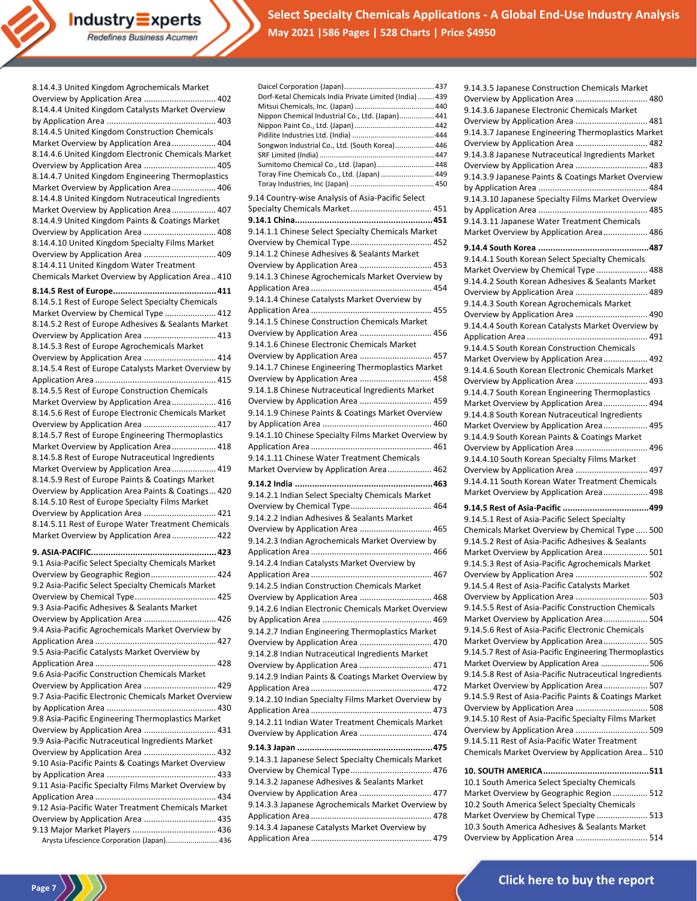Industry Experts Redefines Business Acumen

**Select Specialty Chemicals Applications - A Global End-Use Industry Analysis May 2021 |586 Pages | 528 Charts | Price \$4950**

| 8.14.4.3 United Kingdom Agrochemicals Market                                                 |
|----------------------------------------------------------------------------------------------|
| Overview by Application Area  402                                                            |
| 8.14.4.4 United Kingdom Catalysts Market Overview                                            |
|                                                                                              |
| 8.14.4.5 United Kingdom Construction Chemicals                                               |
| Market Overview by Application Area 404                                                      |
| 8.14.4.6 United Kingdom Electronic Chemicals Market                                          |
| Overview by Application Area  405                                                            |
| 8.14.4.7 United Kingdom Engineering Thermoplastics                                           |
| Market Overview by Application Area 406                                                      |
| 8.14.4.8 United Kingdom Nutraceutical Ingredients                                            |
| Market Overview by Application Area 407                                                      |
| 8.14.4.9 United Kingdom Paints & Coatings Market                                             |
| Overview by Application Area  408                                                            |
| 8.14.4.10 United Kingdom Specialty Films Market<br>Overview by Application Area  409         |
| 8.14.4.11 United Kingdom Water Treatment                                                     |
| Chemicals Market Overview by Application Area 410                                            |
|                                                                                              |
|                                                                                              |
| 8.14.5.1 Rest of Europe Select Specialty Chemicals                                           |
| Market Overview by Chemical Type  412                                                        |
| 8.14.5.2 Rest of Europe Adhesives & Sealants Market                                          |
| Overview by Application Area  413                                                            |
| 8.14.5.3 Rest of Europe Agrochemicals Market                                                 |
| Overview by Application Area  414                                                            |
| 8.14.5.4 Rest of Europe Catalysts Market Overview by                                         |
|                                                                                              |
| 8.14.5.5 Rest of Europe Construction Chemicals                                               |
| Market Overview by Application Area  416                                                     |
| 8.14.5.6 Rest of Europe Electronic Chemicals Market                                          |
| Overview by Application Area  417                                                            |
| 8.14.5.7 Rest of Europe Engineering Thermoplastics                                           |
| Market Overview by Application Area 418                                                      |
| 8.14.5.8 Rest of Europe Nutraceutical Ingredients<br>Market Overview by Application Area 419 |
|                                                                                              |
|                                                                                              |
| 8.14.5.9 Rest of Europe Paints & Coatings Market                                             |
| Overview by Application Area Paints & Coatings 420                                           |
| 8.14.5.10 Rest of Europe Specialty Films Market                                              |
| Overview by Application Area  421                                                            |
| 8.14.5.11 Rest of Europe Water Treatment Chemicals                                           |
| Market Overview by Application Area 422                                                      |
|                                                                                              |
| 9.1 Asia-Pacific Select Specialty Chemicals Market                                           |
| Overview by Geographic Region 424                                                            |
| 9.2 Asia-Pacific Select Specialty Chemicals Market                                           |
|                                                                                              |
| 9.3 Asia-Pacific Adhesives & Sealants Market                                                 |
| Overview by Application Area  426                                                            |
| 9.4 Asia-Pacific Agrochemicals Market Overview by                                            |
|                                                                                              |
| 9.5 Asia-Pacific Catalysts Market Overview by                                                |
|                                                                                              |
| 9.6 Asia-Pacific Construction Chemicals Market                                               |
| Overview by Application Area  429                                                            |
| 9.7 Asia-Pacific Electronic Chemicals Market Overview                                        |
|                                                                                              |
| 9.8 Asia-Pacific Engineering Thermoplastics Market                                           |
| Overview by Application Area  431                                                            |
| 9.9 Asia-Pacific Nutraceutical Ingredients Market                                            |
| Overview by Application Area  432                                                            |
| 9.10 Asia-Pacific Paints & Coatings Market Overview                                          |
|                                                                                              |
| 9.11 Asia-Pacific Specialty Films Market Overview by                                         |
|                                                                                              |
| 9.12 Asia-Pacific Water Treatment Chemicals Market                                           |
| Overview by Application Area  435                                                            |
| Arysta Lifescience Corporation (Japan)436                                                    |

**Page 7**

| Dorf-Ketal Chemicals India Private Limited (India)  439                                |
|----------------------------------------------------------------------------------------|
| Nippon Chemical Industrial Co., Ltd. (Japan) 441                                       |
|                                                                                        |
| Songwon Industrial Co., Ltd. (South Korea) 446                                         |
|                                                                                        |
| Sumitomo Chemical Co., Ltd. (Japan) 448                                                |
| Toray Fine Chemicals Co., Ltd. (Japan)  449                                            |
|                                                                                        |
| 9.14 Country-wise Analysis of Asia-Pacific Select                                      |
|                                                                                        |
| 9.14.1.1 Chinese Select Specialty Chemicals Market                                     |
|                                                                                        |
| 9.14.1.2 Chinese Adhesives & Sealants Market                                           |
| Overview by Application Area  453                                                      |
| 9.14.1.3 Chinese Agrochemicals Market Overview by                                      |
|                                                                                        |
| 9.14.1.4 Chinese Catalysts Market Overview by                                          |
|                                                                                        |
| 9.14.1.5 Chinese Construction Chemicals Market                                         |
| Overview by Application Area  456<br>9.14.1.6 Chinese Electronic Chemicals Market      |
| Overview by Application Area  457                                                      |
| 9.14.1.7 Chinese Engineering Thermoplastics Market                                     |
| Overview by Application Area  458                                                      |
| 9.14.1.8 Chinese Nutraceutical Ingredients Market                                      |
| Overview by Application Area  459                                                      |
| 9.14.1.9 Chinese Paints & Coatings Market Overview                                     |
|                                                                                        |
| 9.14.1.10 Chinese Specialty Films Market Overview by                                   |
|                                                                                        |
|                                                                                        |
| 9.14.1.11 Chinese Water Treatment Chemicals                                            |
| Market Overview by Application Area 462                                                |
|                                                                                        |
| 9.14.2.1 Indian Select Specialty Chemicals Market                                      |
| 9.14.2.2 Indian Adhesives & Sealants Market                                            |
| Overview by Application Area  465                                                      |
| 9.14.2.3 Indian Agrochemicals Market Overview by                                       |
|                                                                                        |
| 9.14.2.4 Indian Catalysts Market Overview by                                           |
|                                                                                        |
| 9.14.2.5 Indian Construction Chemicals Market                                          |
| Overview by Application Area  468                                                      |
| 9.14.2.6 Indian Electronic Chemicals Market Overview                                   |
| 9.14.2.7 Indian Engineering Thermoplastics Market                                      |
| Overview by Application Area  470                                                      |
| 9.14.2.8 Indian Nutraceutical Ingredients Market                                       |
| Overview by Application Area  471                                                      |
| 9.14.2.9 Indian Paints & Coatings Market Overview by                                   |
|                                                                                        |
| 9.14.2.10 Indian Specialty Films Market Overview by                                    |
|                                                                                        |
| 9.14.2.11 Indian Water Treatment Chemicals Market<br>Overview by Application Area  474 |
|                                                                                        |
|                                                                                        |
| 9.14.3.1 Japanese Select Specialty Chemicals Market                                    |
| 9.14.3.2 Japanese Adhesives & Sealants Market                                          |
| Overview by Application Area  477                                                      |
| 9.14.3.3 Japanese Agrochemicals Market Overview by                                     |
|                                                                                        |
| 9.14.3.4 Japanese Catalysts Market Overview by                                         |

| 9.14.3.5 Japanese Construction Chemicals Market                                           |  |
|-------------------------------------------------------------------------------------------|--|
| Overview by Application Area  480                                                         |  |
| 9.14.3.6 Japanese Electronic Chemicals Market                                             |  |
| Overview by Application Area  481                                                         |  |
| 9.14.3.7 Japanese Engineering Thermoplastics Market<br>Overview by Application Area  482  |  |
| 9.14.3.8 Japanese Nutraceutical Ingredients Market                                        |  |
| Overview by Application Area  483                                                         |  |
| 9.14.3.9 Japanese Paints & Coatings Market Overview                                       |  |
|                                                                                           |  |
| 9.14.3.10 Japanese Specialty Films Market Overview                                        |  |
|                                                                                           |  |
| 9.14.3.11 Japanese Water Treatment Chemicals                                              |  |
| Market Overview by Application Area 486                                                   |  |
|                                                                                           |  |
| 9.14.4.1 South Korean Select Specialty Chemicals                                          |  |
| Market Overview by Chemical Type  488                                                     |  |
| 9.14.4.2 South Korean Adhesives & Sealants Market                                         |  |
| Overview by Application Area  489                                                         |  |
| 9.14.4.3 South Korean Agrochemicals Market                                                |  |
| Overview by Application Area  490                                                         |  |
| 9.14.4.4 South Korean Catalysts Market Overview by                                        |  |
| 9.14.4.5 South Korean Construction Chemicals                                              |  |
| Market Overview by Application Area 492                                                   |  |
| 9.14.4.6 South Korean Electronic Chemicals Market                                         |  |
| Overview by Application Area  493                                                         |  |
| 9.14.4.7 South Korean Engineering Thermoplastics                                          |  |
| Market Overview by Application Area 494                                                   |  |
| 9.14.4.8 South Korean Nutraceutical Ingredients                                           |  |
| Market Overview by Application Area 495                                                   |  |
| 9.14.4.9 South Korean Paints & Coatings Market                                            |  |
| Overview by Application Area  496<br>9.14.4.10 South Korean Specialty Films Market        |  |
| Overview by Application Area  497                                                         |  |
| 9.14.4.11 South Korean Water Treatment Chemicals                                          |  |
| Market Overview by Application Area 498                                                   |  |
|                                                                                           |  |
| 9.14.5.1 Rest of Asia-Pacific Select Specialty                                            |  |
| Chemicals Market Overview by Chemical Type  500                                           |  |
| 9.14.5.2 Rest of Asia-Pacific Adhesives & Sealants                                        |  |
| Market Overview by Application Area 501                                                   |  |
| 9.14.5.3 Rest of Asia-Pacific Agrochemicals Market                                        |  |
| Overview by Application Area  502                                                         |  |
| 9.14.5.4 Rest of Asia-Pacific Catalysts Market                                            |  |
| Overview by Application Area  503<br>9.14.5.5 Rest of Asia-Pacific Construction Chemicals |  |
| Market Overview by Application Area 504                                                   |  |
| 9.14.5.6 Rest of Asia-Pacific Electronic Chemicals                                        |  |
| Market Overview by Application Area 505                                                   |  |
| 9.14.5.7 Rest of Asia-Pacific Engineering Thermoplastics                                  |  |
| Market Overview by Application Area 506                                                   |  |
| 9.14.5.8 Rest of Asia-Pacific Nutraceutical Ingredients                                   |  |
| Market Overview by Application Area 507                                                   |  |
|                                                                                           |  |
| 9.14.5.9 Rest of Asia-Pacific Paints & Coatings Market                                    |  |
| Overview by Application Area  508                                                         |  |
| 9.14.5.10 Rest of Asia-Pacific Specialty Films Market                                     |  |
| Overview by Application Area  509                                                         |  |
| 9.14.5.11 Rest of Asia-Pacific Water Treatment                                            |  |
| Chemicals Market Overview by Application Area 510                                         |  |
|                                                                                           |  |
| 10.1 South America Select Specialty Chemicals                                             |  |
| Market Overview by Geographic Region  512                                                 |  |
| 10.2 South America Select Specialty Chemicals<br>Market Overview by Chemical Type  513    |  |

10.3 South America Adhesives & Sealants Market Overview by Application Area ............................... 514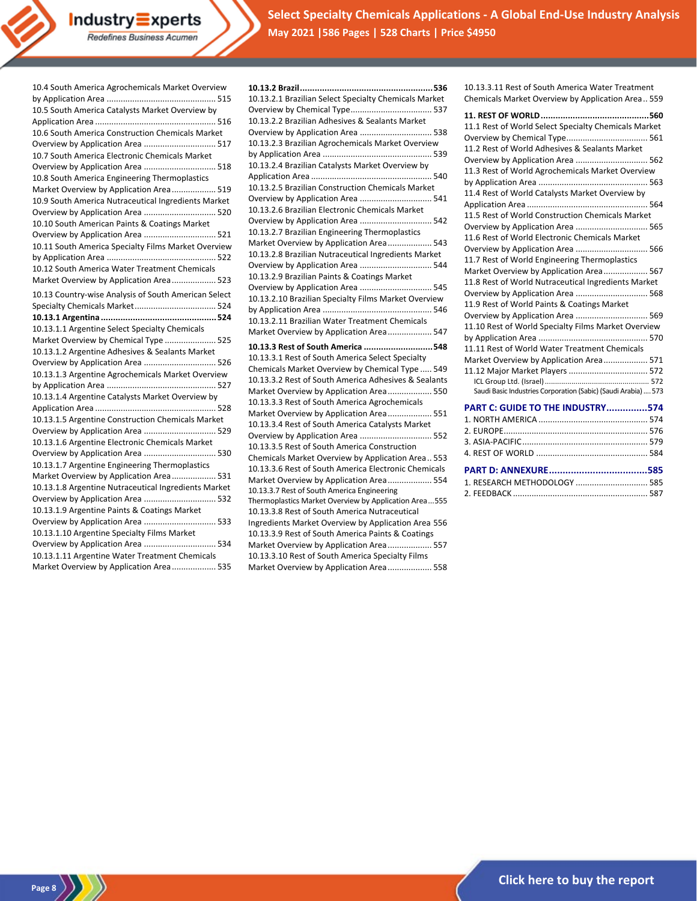**Select Specialty Chemicals Applications - A Global End-Use Industry Analysis May 2021 |586 Pages | 528 Charts | Price \$4950**

10.4 South America Agrochemicals Market Overview

 $Industry\equiv xperts$ Redefines Business Acumen

**Page 8** 

**10.13.2 Brazil......................................................536** 10.13.2.1 Brazilian Select Specialty Chemicals Market Overview by Chemical Type................................... 537 10.13.2.2 Brazilian Adhesives & Sealants Market Overview by Application Area ............................... 538 10.13.2.3 Brazilian Agrochemicals Market Overview by Application Area ............................................... 539 10.13.2.4 Brazilian Catalysts Market Overview by Application Area .................................................... 540 10.13.2.5 Brazilian Construction Chemicals Market Overview by Application Area ............................... 541 10.13.2.6 Brazilian Electronic Chemicals Market Overview by Application Area ............................... 542 10.13.2.7 Brazilian Engineering Thermoplastics Market Overview by Application Area................... 543 10.13.2.8 Brazilian Nutraceutical Ingredients Market Overview by Application Area ............................... 544 10.13.2.9 Brazilian Paints & Coatings Market Overview by Application Area ............................... 545 10.13.2.10 Brazilian Specialty Films Market Overview by Application Area ............................................... 546 10.13.2.11 Brazilian Water Treatment Chemicals Market Overview by Application Area................... 547 **10.13.3 Rest of South America ............................548** 10.13.3.1 Rest of South America Select Specialty Chemicals Market Overview by Chemical Type ..... 549 10.13.3.2 Rest of South America Adhesives & Sealants Market Overview by Application Area................... 550 10.13.3.3 Rest of South America Agrochemicals Market Overview by Application Area................... 551 10.13.3.4 Rest of South America Catalysts Market Overview by Application Area ............................... 552 10.13.3.5 Rest of South America Construction Chemicals Market Overview by Application Area.. 553 10.13.3.6 Rest of South America Electronic Chemicals Market Overview by Application Area................... 554 10.13.3.7 Rest of South America Engineering Thermoplastics Market Overview by Application Area...555 10.13.3.8 Rest of South America Nutraceutical Ingredients Market Overview by Application Area 556 10.13.3.9 Rest of South America Paints & Coatings Market Overview by Application Area................... 557 10.13.3.10 Rest of South America Specialty Films Market Overview by Application Area................... 558

10.13.3.11 Rest of South America Water Treatment Chemicals Market Overview by Application Area.. 559

| 11.1 Rest of World Select Specialty Chemicals Market           |
|----------------------------------------------------------------|
|                                                                |
| 11.2 Rest of World Adhesives & Sealants Market                 |
| Overview by Application Area  562                              |
| 11.3 Rest of World Agrochemicals Market Overview               |
|                                                                |
| 11.4 Rest of World Catalysts Market Overview by                |
|                                                                |
| 11.5 Rest of World Construction Chemicals Market               |
| Overview by Application Area  565                              |
| 11.6 Rest of World Electronic Chemicals Market                 |
| Overview by Application Area  566                              |
| 11.7 Rest of World Engineering Thermoplastics                  |
| Market Overview by Application Area 567                        |
| 11.8 Rest of World Nutraceutical Ingredients Market            |
| Overview by Application Area  568                              |
| 11.9 Rest of World Paints & Coatings Market                    |
| Overview by Application Area  569                              |
| 11.10 Rest of World Specialty Films Market Overview            |
|                                                                |
| 11.11 Rest of World Water Treatment Chemicals                  |
| Market Overview by Application Area 571                        |
| 11.12 Major Market Players  572                                |
|                                                                |
| Saudi Basic Industries Corporation (Sabic) (Saudi Arabia)  573 |
| PART C: GUIDE TO THE INDUSTRY574                               |
|                                                                |
|                                                                |
|                                                                |
|                                                                |
|                                                                |
| 1. RESEARCH METHODOLOGY  585                                   |
|                                                                |